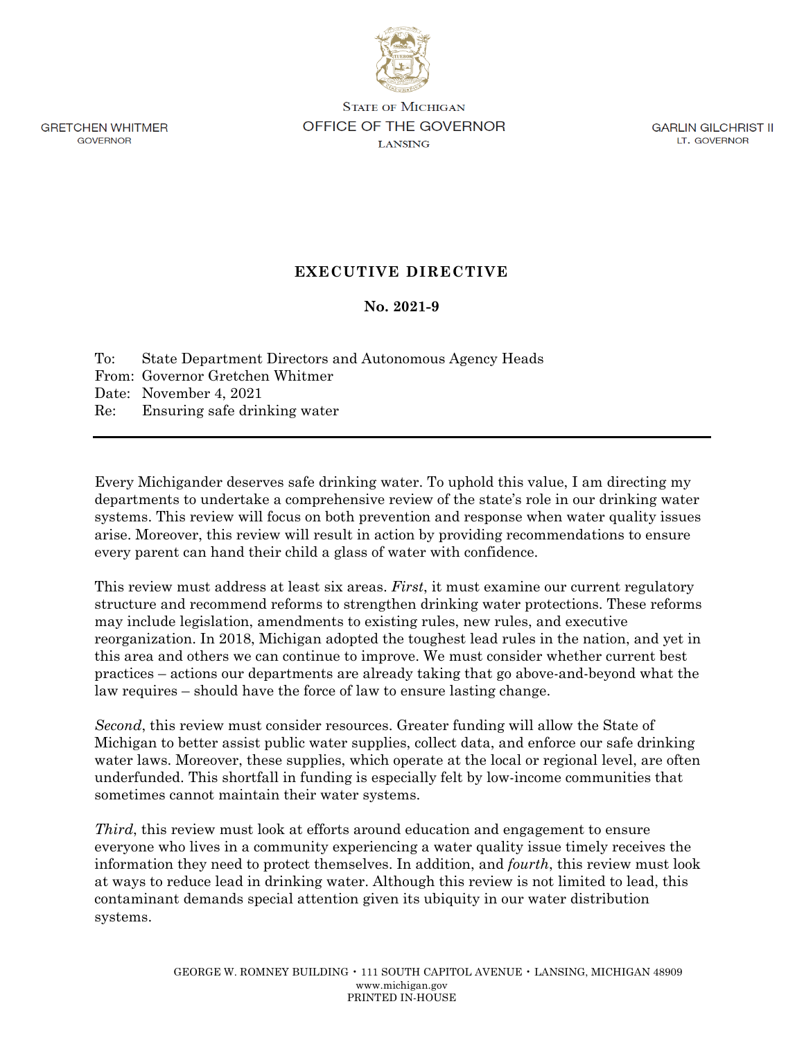**GRETCHEN WHITMER GOVERNOR** 

**STATE OF MICHIGAN** OFFICE OF THE GOVERNOR **LANSING** 

**GARLIN GILCHRIST II** LT. GOVERNOR

## **EXECUTIVE DIRECTIVE**

## **No. 2021-9**

To: State Department Directors and Autonomous Agency Heads From: Governor Gretchen Whitmer Date: November 4, 2021 Re: Ensuring safe drinking water

Every Michigander deserves safe drinking water. To uphold this value, I am directing my departments to undertake a comprehensive review of the state's role in our drinking water systems. This review will focus on both prevention and response when water quality issues arise. Moreover, this review will result in action by providing recommendations to ensure every parent can hand their child a glass of water with confidence.

This review must address at least six areas. *First*, it must examine our current regulatory structure and recommend reforms to strengthen drinking water protections. These reforms may include legislation, amendments to existing rules, new rules, and executive reorganization. In 2018, Michigan adopted the toughest lead rules in the nation, and yet in this area and others we can continue to improve. We must consider whether current best practices – actions our departments are already taking that go above-and-beyond what the law requires – should have the force of law to ensure lasting change.

*Second*, this review must consider resources. Greater funding will allow the State of Michigan to better assist public water supplies, collect data, and enforce our safe drinking water laws. Moreover, these supplies, which operate at the local or regional level, are often underfunded. This shortfall in funding is especially felt by low-income communities that sometimes cannot maintain their water systems.

*Third*, this review must look at efforts around education and engagement to ensure everyone who lives in a community experiencing a water quality issue timely receives the information they need to protect themselves. In addition, and *fourth*, this review must look at ways to reduce lead in drinking water. Although this review is not limited to lead, this contaminant demands special attention given its ubiquity in our water distribution systems.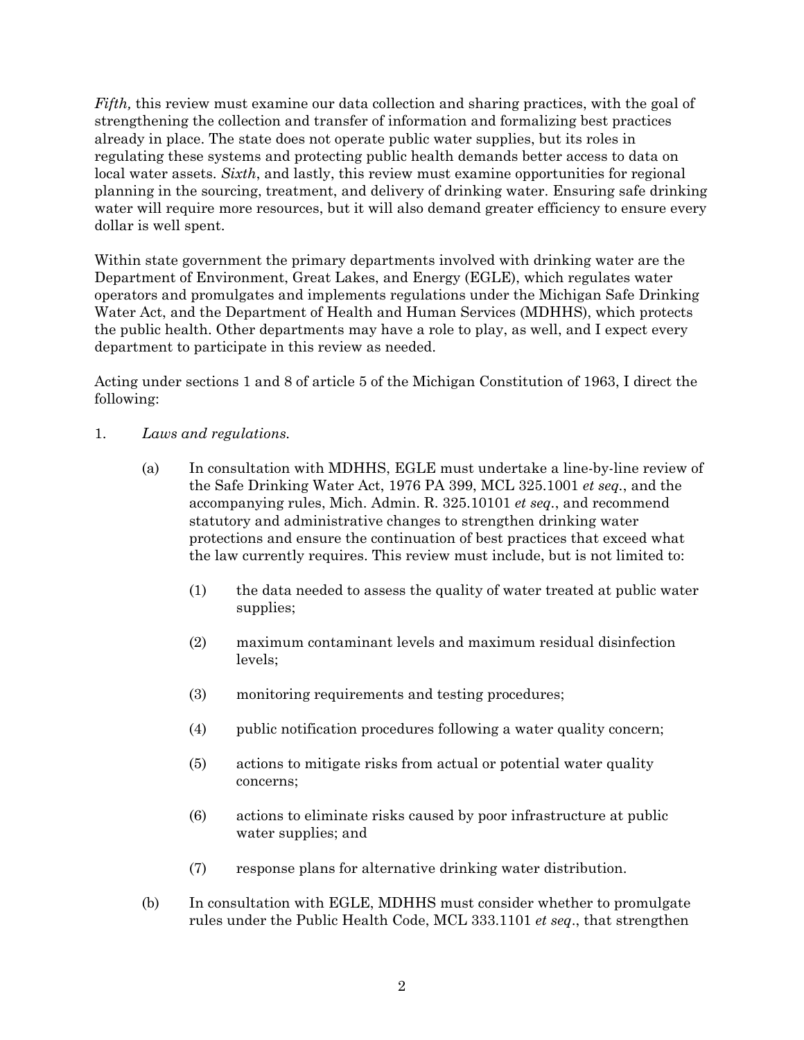*Fifth,* this review must examine our data collection and sharing practices, with the goal of strengthening the collection and transfer of information and formalizing best practices already in place. The state does not operate public water supplies, but its roles in regulating these systems and protecting public health demands better access to data on local water assets. *Sixth*, and lastly, this review must examine opportunities for regional planning in the sourcing, treatment, and delivery of drinking water. Ensuring safe drinking water will require more resources, but it will also demand greater efficiency to ensure every dollar is well spent.

Within state government the primary departments involved with drinking water are the Department of Environment, Great Lakes, and Energy (EGLE), which regulates water operators and promulgates and implements regulations under the Michigan Safe Drinking Water Act, and the Department of Health and Human Services (MDHHS), which protects the public health. Other departments may have a role to play, as well, and I expect every department to participate in this review as needed.

Acting under sections 1 and 8 of article 5 of the Michigan Constitution of 1963, I direct the following:

- 1. *Laws and regulations.*
	- (a) In consultation with MDHHS, EGLE must undertake a line-by-line review of the Safe Drinking Water Act, 1976 PA 399, MCL 325.1001 *et seq.*, and the accompanying rules, Mich. Admin. R. 325.10101 *et seq.*, and recommend statutory and administrative changes to strengthen drinking water protections and ensure the continuation of best practices that exceed what the law currently requires. This review must include, but is not limited to:
		- (1) the data needed to assess the quality of water treated at public water supplies;
		- (2) maximum contaminant levels and maximum residual disinfection levels;
		- (3) monitoring requirements and testing procedures;
		- (4) public notification procedures following a water quality concern;
		- (5) actions to mitigate risks from actual or potential water quality concerns;
		- (6) actions to eliminate risks caused by poor infrastructure at public water supplies; and
		- (7) response plans for alternative drinking water distribution.
	- (b) In consultation with EGLE, MDHHS must consider whether to promulgate rules under the Public Health Code, MCL 333.1101 *et seq*., that strengthen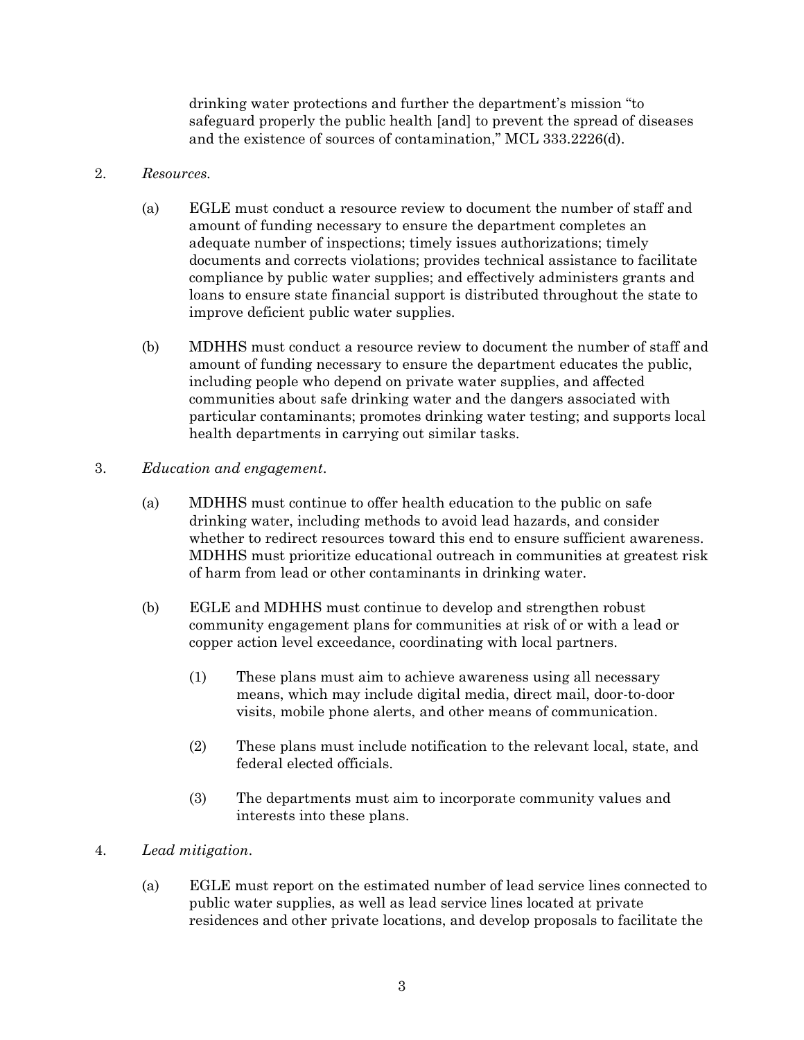drinking water protections and further the department's mission "to safeguard properly the public health [and] to prevent the spread of diseases and the existence of sources of contamination," MCL 333.2226(d).

## 2. *Resources.*

- (a) EGLE must conduct a resource review to document the number of staff and amount of funding necessary to ensure the department completes an adequate number of inspections; timely issues authorizations; timely documents and corrects violations; provides technical assistance to facilitate compliance by public water supplies; and effectively administers grants and loans to ensure state financial support is distributed throughout the state to improve deficient public water supplies.
- (b) MDHHS must conduct a resource review to document the number of staff and amount of funding necessary to ensure the department educates the public, including people who depend on private water supplies, and affected communities about safe drinking water and the dangers associated with particular contaminants; promotes drinking water testing; and supports local health departments in carrying out similar tasks.
- 3. *Education and engagement*.
	- (a) MDHHS must continue to offer health education to the public on safe drinking water, including methods to avoid lead hazards, and consider whether to redirect resources toward this end to ensure sufficient awareness. MDHHS must prioritize educational outreach in communities at greatest risk of harm from lead or other contaminants in drinking water.
	- (b) EGLE and MDHHS must continue to develop and strengthen robust community engagement plans for communities at risk of or with a lead or copper action level exceedance, coordinating with local partners.
		- (1) These plans must aim to achieve awareness using all necessary means, which may include digital media, direct mail, door-to-door visits, mobile phone alerts, and other means of communication.
		- (2) These plans must include notification to the relevant local, state, and federal elected officials.
		- (3) The departments must aim to incorporate community values and interests into these plans.
- 4. *Lead mitigation*.
	- (a) EGLE must report on the estimated number of lead service lines connected to public water supplies, as well as lead service lines located at private residences and other private locations, and develop proposals to facilitate the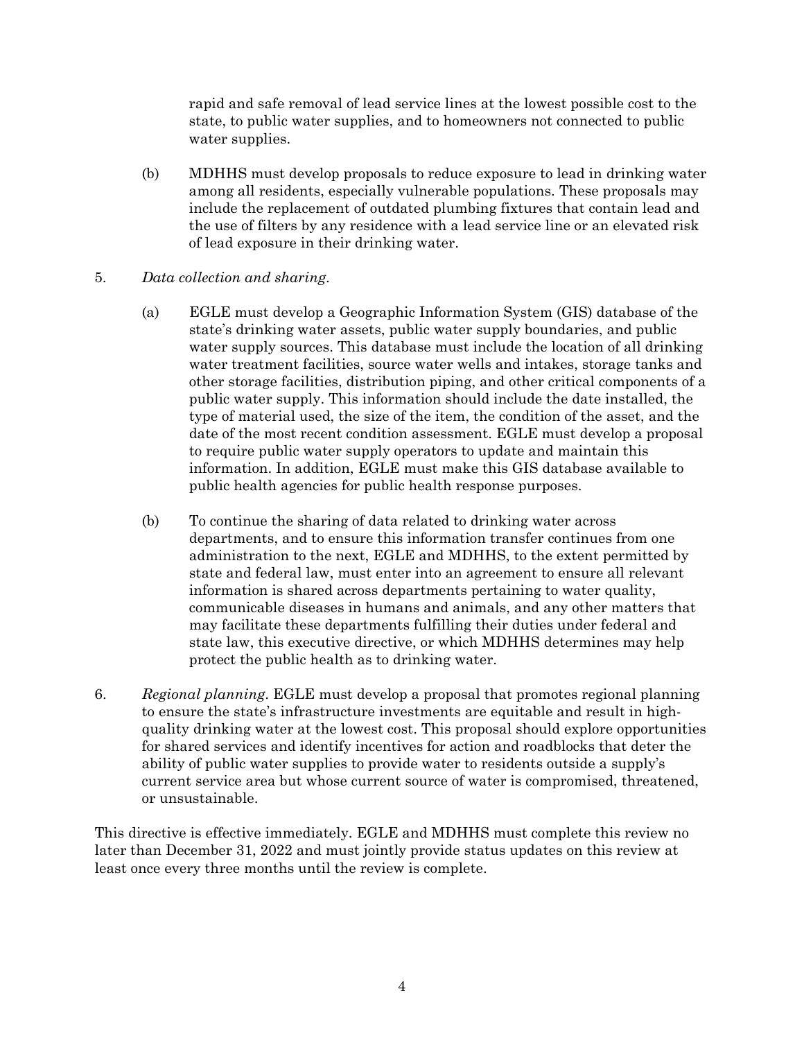rapid and safe removal of lead service lines at the lowest possible cost to the state, to public water supplies, and to homeowners not connected to public water supplies.

- (b) MDHHS must develop proposals to reduce exposure to lead in drinking water among all residents, especially vulnerable populations. These proposals may include the replacement of outdated plumbing fixtures that contain lead and the use of filters by any residence with a lead service line or an elevated risk of lead exposure in their drinking water.
- 5. *Data collection and sharing*.
	- (a) EGLE must develop a Geographic Information System (GIS) database of the state's drinking water assets, public water supply boundaries, and public water supply sources. This database must include the location of all drinking water treatment facilities, source water wells and intakes, storage tanks and other storage facilities, distribution piping, and other critical components of a public water supply. This information should include the date installed, the type of material used, the size of the item, the condition of the asset, and the date of the most recent condition assessment. EGLE must develop a proposal to require public water supply operators to update and maintain this information. In addition, EGLE must make this GIS database available to public health agencies for public health response purposes.
	- (b) To continue the sharing of data related to drinking water across departments, and to ensure this information transfer continues from one administration to the next, EGLE and MDHHS, to the extent permitted by state and federal law, must enter into an agreement to ensure all relevant information is shared across departments pertaining to water quality, communicable diseases in humans and animals, and any other matters that may facilitate these departments fulfilling their duties under federal and state law, this executive directive, or which MDHHS determines may help protect the public health as to drinking water.
- 6. *Regional planning*. EGLE must develop a proposal that promotes regional planning to ensure the state's infrastructure investments are equitable and result in highquality drinking water at the lowest cost. This proposal should explore opportunities for shared services and identify incentives for action and roadblocks that deter the ability of public water supplies to provide water to residents outside a supply's current service area but whose current source of water is compromised, threatened, or unsustainable.

This directive is effective immediately. EGLE and MDHHS must complete this review no later than December 31, 2022 and must jointly provide status updates on this review at least once every three months until the review is complete.